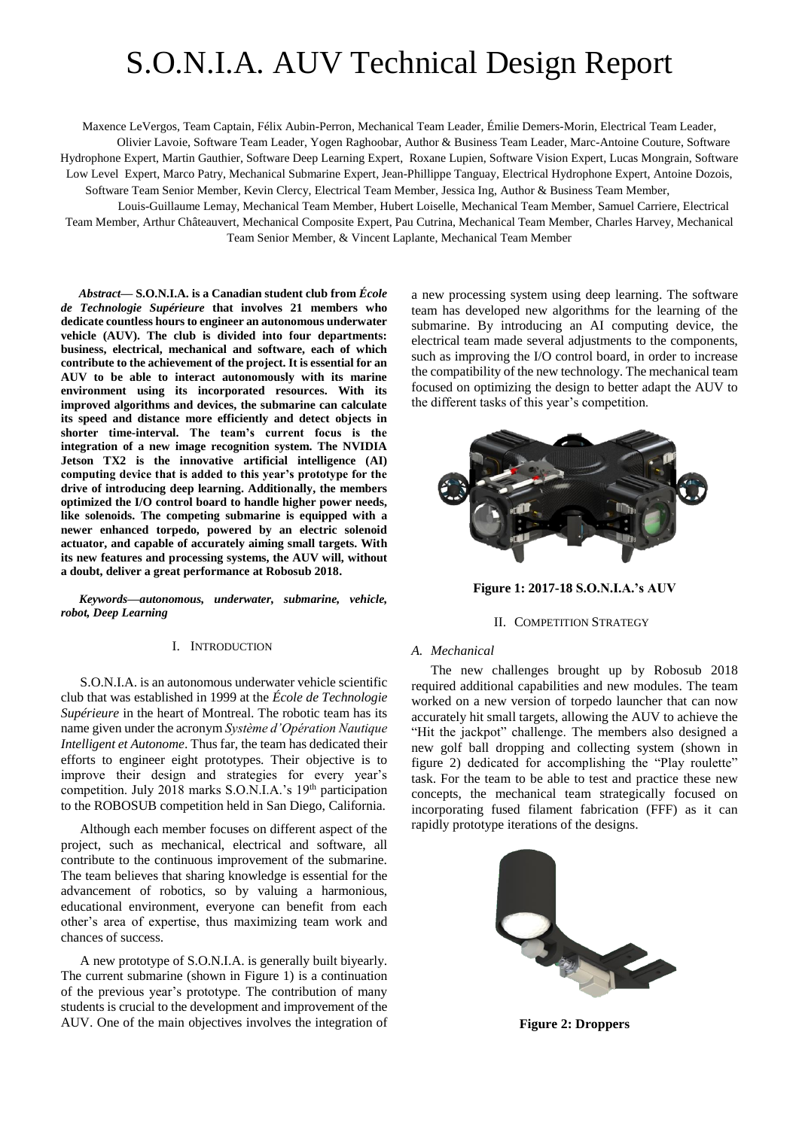# S.O.N.I.A. AUV Technical Design Report

Maxence LeVergos, Team Captain, Félix Aubin-Perron, Mechanical Team Leader, Émilie Demers-Morin, Electrical Team Leader, Olivier Lavoie, Software Team Leader, Yogen Raghoobar, Author & Business Team Leader, Marc-Antoine Couture, Software Hydrophone Expert, Martin Gauthier, Software Deep Learning Expert, Roxane Lupien, Software Vision Expert, Lucas Mongrain, Software Low Level Expert, Marco Patry, Mechanical Submarine Expert, Jean-Phillippe Tanguay, Electrical Hydrophone Expert, Antoine Dozois, Software Team Senior Member, Kevin Clercy, Electrical Team Member, Jessica Ing, Author & Business Team Member,

Louis-Guillaume Lemay, Mechanical Team Member, Hubert Loiselle, Mechanical Team Member, Samuel Carriere, Electrical Team Member, Arthur Châteauvert, Mechanical Composite Expert, Pau Cutrina, Mechanical Team Member, Charles Harvey, Mechanical Team Senior Member, & Vincent Laplante, Mechanical Team Member

*Abstract***— S.O.N.I.A. is a Canadian student club from** *École de Technologie Supérieure* **that involves 21 members who dedicate countless hours to engineer an autonomous underwater vehicle (AUV). The club is divided into four departments: business, electrical, mechanical and software, each of which contribute to the achievement of the project. It is essential for an AUV to be able to interact autonomously with its marine environment using its incorporated resources. With its improved algorithms and devices, the submarine can calculate its speed and distance more efficiently and detect objects in shorter time-interval. The team's current focus is the integration of a new image recognition system. The NVIDIA Jetson TX2 is the innovative artificial intelligence (AI) computing device that is added to this year's prototype for the drive of introducing deep learning. Additionally, the members optimized the I/O control board to handle higher power needs, like solenoids. The competing submarine is equipped with a newer enhanced torpedo, powered by an electric solenoid actuator, and capable of accurately aiming small targets. With its new features and processing systems, the AUV will, without a doubt, deliver a great performance at Robosub 2018.**

*Keywords—autonomous, underwater, submarine, vehicle, robot, Deep Learning*

## I. INTRODUCTION

S.O.N.I.A. is an autonomous underwater vehicle scientific club that was established in 1999 at the *École de Technologie Supérieure* in the heart of Montreal. The robotic team has its name given under the acronym *Système d'Opération Nautique Intelligent et Autonome*. Thus far, the team has dedicated their efforts to engineer eight prototypes. Their objective is to improve their design and strategies for every year's competition. July 2018 marks S.O.N.I.A.'s 19th participation to the ROBOSUB competition held in San Diego, California.

Although each member focuses on different aspect of the project, such as mechanical, electrical and software, all contribute to the continuous improvement of the submarine. The team believes that sharing knowledge is essential for the advancement of robotics, so by valuing a harmonious, educational environment, everyone can benefit from each other's area of expertise, thus maximizing team work and chances of success.

A new prototype of S.O.N.I.A. is generally built biyearly. The current submarine (shown in Figure 1) is a continuation of the previous year's prototype. The contribution of many students is crucial to the development and improvement of the AUV. One of the main objectives involves the integration of a new processing system using deep learning. The software team has developed new algorithms for the learning of the submarine. By introducing an AI computing device, the electrical team made several adjustments to the components, such as improving the I/O control board, in order to increase the compatibility of the new technology. The mechanical team focused on optimizing the design to better adapt the AUV to the different tasks of this year's competition.



**Figure 1: 2017-18 S.O.N.I.A.'s AUV** 

## II. COMPETITION STRATEGY

#### *A. Mechanical*

The new challenges brought up by Robosub 2018 required additional capabilities and new modules. The team worked on a new version of torpedo launcher that can now accurately hit small targets, allowing the AUV to achieve the "Hit the jackpot" challenge. The members also designed a new golf ball dropping and collecting system (shown in figure 2) dedicated for accomplishing the "Play roulette" task. For the team to be able to test and practice these new concepts, the mechanical team strategically focused on incorporating fused filament fabrication (FFF) as it can rapidly prototype iterations of the designs.



**Figure 2: Droppers**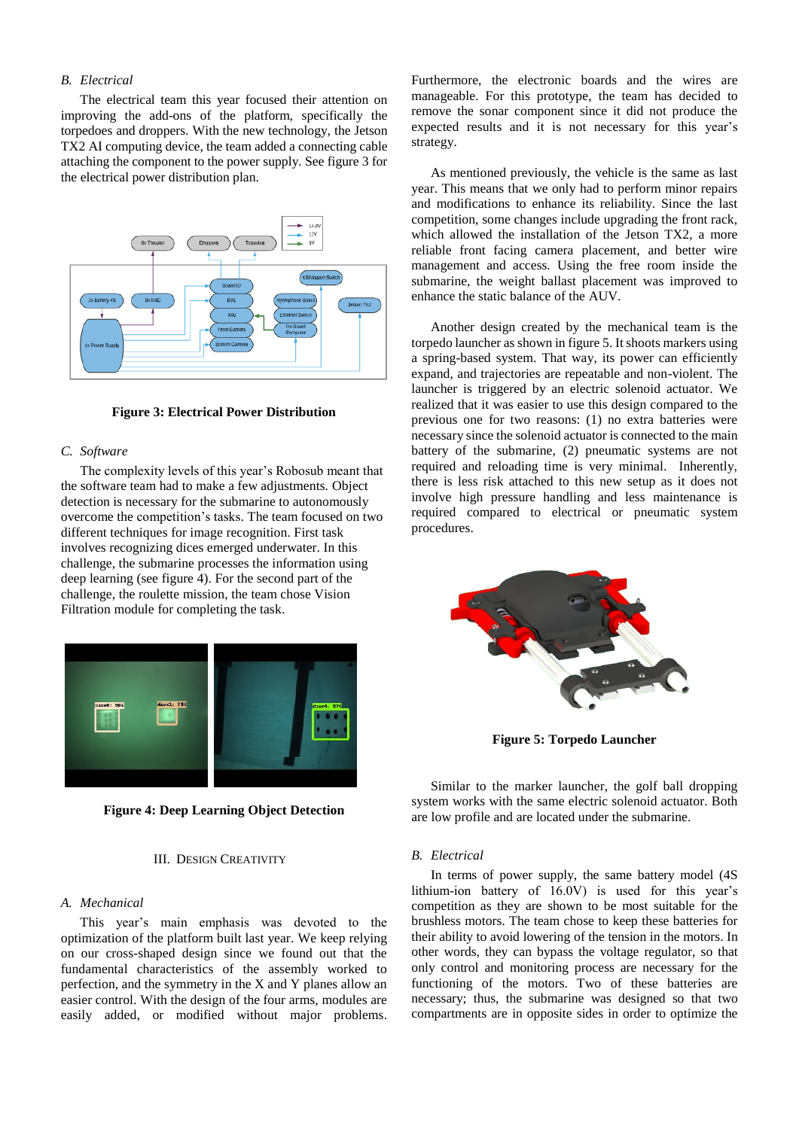# *B. Electrical*

The electrical team this year focused their attention on improving the add-ons of the platform, specifically the torpedoes and droppers. With the new technology, the Jetson TX2 AI computing device, the team added a connecting cable attaching the component to the power supply. See figure 3 for the electrical power distribution plan.



**Figure 3: Electrical Power Distribution**

#### *C. Software*

The complexity levels of this year's Robosub meant that the software team had to make a few adjustments. Object detection is necessary for the submarine to autonomously overcome the competition's tasks. The team focused on two different techniques for image recognition. First task involves recognizing dices emerged underwater. In this challenge, the submarine processes the information using deep learning (see figure 4). For the second part of the challenge, the roulette mission, the team chose Vision Filtration module for completing the task.



**Figure 4: Deep Learning Object Detection**

## III. DESIGN CREATIVITY

# *A. Mechanical*

This year's main emphasis was devoted to the optimization of the platform built last year. We keep relying on our cross-shaped design since we found out that the fundamental characteristics of the assembly worked to perfection, and the symmetry in the X and Y planes allow an easier control. With the design of the four arms, modules are easily added, or modified without major problems. Furthermore, the electronic boards and the wires are manageable. For this prototype, the team has decided to remove the sonar component since it did not produce the expected results and it is not necessary for this year's strategy.

As mentioned previously, the vehicle is the same as last year. This means that we only had to perform minor repairs and modifications to enhance its reliability. Since the last competition, some changes include upgrading the front rack, which allowed the installation of the Jetson TX2, a more reliable front facing camera placement, and better wire management and access. Using the free room inside the submarine, the weight ballast placement was improved to enhance the static balance of the AUV.

Another design created by the mechanical team is the torpedo launcher as shown in figure 5. It shoots markers using a spring-based system. That way, its power can efficiently expand, and trajectories are repeatable and non-violent. The launcher is triggered by an electric solenoid actuator. We realized that it was easier to use this design compared to the previous one for two reasons: (1) no extra batteries were necessary since the solenoid actuator is connected to the main battery of the submarine, (2) pneumatic systems are not required and reloading time is very minimal. Inherently, there is less risk attached to this new setup as it does not involve high pressure handling and less maintenance is required compared to electrical or pneumatic system procedures.



**Figure 5: Torpedo Launcher**

Similar to the marker launcher, the golf ball dropping system works with the same electric solenoid actuator. Both are low profile and are located under the submarine.

#### *B. Electrical*

In terms of power supply, the same battery model (4S lithium-ion battery of 16.0V) is used for this year's competition as they are shown to be most suitable for the brushless motors. The team chose to keep these batteries for their ability to avoid lowering of the tension in the motors. In other words, they can bypass the voltage regulator, so that only control and monitoring process are necessary for the functioning of the motors. Two of these batteries are necessary; thus, the submarine was designed so that two compartments are in opposite sides in order to optimize the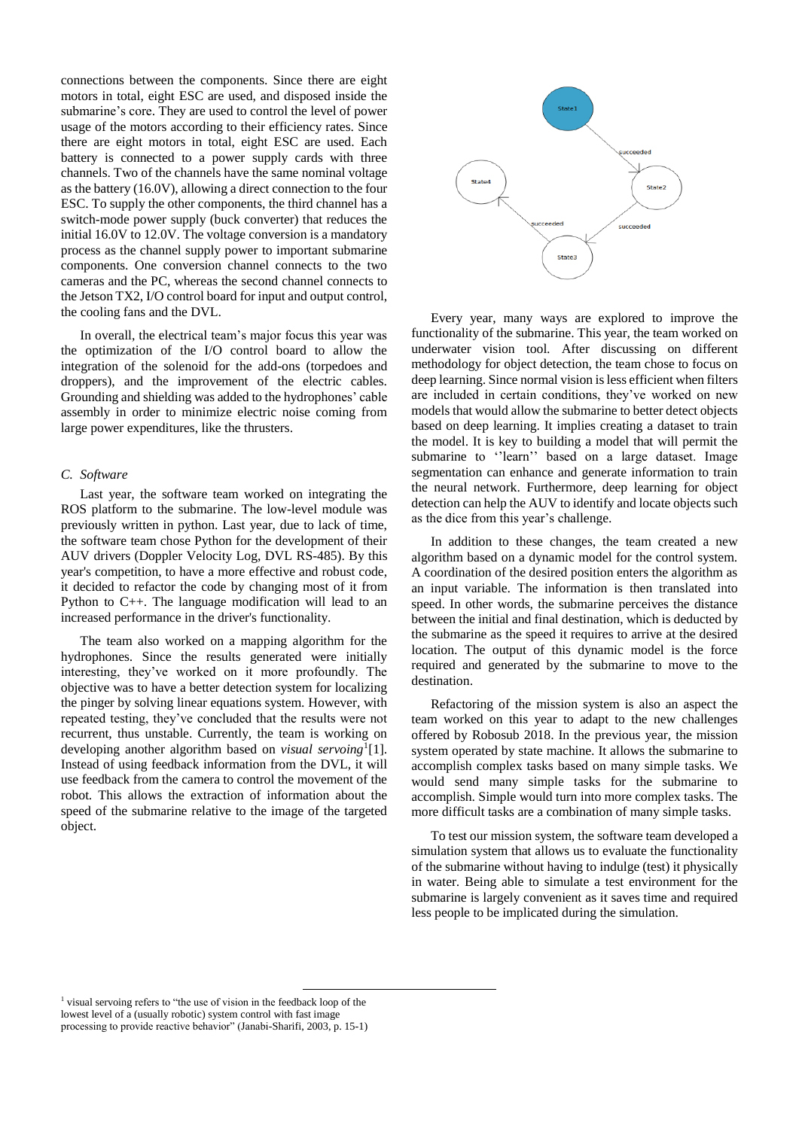connections between the components. Since there are eight motors in total, eight ESC are used, and disposed inside the submarine's core. They are used to control the level of power usage of the motors according to their efficiency rates. Since there are eight motors in total, eight ESC are used. Each battery is connected to a power supply cards with three channels. Two of the channels have the same nominal voltage as the battery (16.0V), allowing a direct connection to the four ESC. To supply the other components, the third channel has a switch-mode power supply (buck converter) that reduces the initial 16.0V to 12.0V. The voltage conversion is a mandatory process as the channel supply power to important submarine components. One conversion channel connects to the two cameras and the PC, whereas the second channel connects to the Jetson TX2, I/O control board for input and output control, the cooling fans and the DVL.

In overall, the electrical team's major focus this year was the optimization of the I/O control board to allow the integration of the solenoid for the add-ons (torpedoes and droppers), and the improvement of the electric cables. Grounding and shielding was added to the hydrophones' cable assembly in order to minimize electric noise coming from large power expenditures, like the thrusters.

# *C. Software*

Last year, the software team worked on integrating the ROS platform to the submarine. The low-level module was previously written in python. Last year, due to lack of time, the software team chose Python for the development of their AUV drivers (Doppler Velocity Log, DVL RS-485). By this year's competition, to have a more effective and robust code, it decided to refactor the code by changing most of it from Python to C++. The language modification will lead to an increased performance in the driver's functionality.

The team also worked on a mapping algorithm for the hydrophones. Since the results generated were initially interesting, they've worked on it more profoundly. The objective was to have a better detection system for localizing the pinger by solving linear equations system. However, with repeated testing, they've concluded that the results were not recurrent, thus unstable. Currently, the team is working on developing another algorithm based on *visual servoing*<sup>1</sup> [1]. Instead of using feedback information from the DVL, it will use feedback from the camera to control the movement of the robot. This allows the extraction of information about the speed of the submarine relative to the image of the targeted object.



Every year, many ways are explored to improve the functionality of the submarine. This year, the team worked on underwater vision tool. After discussing on different methodology for object detection, the team chose to focus on deep learning. Since normal vision is less efficient when filters are included in certain conditions, they've worked on new models that would allow the submarine to better detect objects based on deep learning. It implies creating a dataset to train the model. It is key to building a model that will permit the submarine to ''learn'' based on a large dataset. Image segmentation can enhance and generate information to train the neural network. Furthermore, deep learning for object detection can help the AUV to identify and locate objects such as the dice from this year's challenge.

In addition to these changes, the team created a new algorithm based on a dynamic model for the control system. A coordination of the desired position enters the algorithm as an input variable. The information is then translated into speed. In other words, the submarine perceives the distance between the initial and final destination, which is deducted by the submarine as the speed it requires to arrive at the desired location. The output of this dynamic model is the force required and generated by the submarine to move to the destination.

Refactoring of the mission system is also an aspect the team worked on this year to adapt to the new challenges offered by Robosub 2018. In the previous year, the mission system operated by state machine. It allows the submarine to accomplish complex tasks based on many simple tasks. We would send many simple tasks for the submarine to accomplish. Simple would turn into more complex tasks. The more difficult tasks are a combination of many simple tasks.

To test our mission system, the software team developed a simulation system that allows us to evaluate the functionality of the submarine without having to indulge (test) it physically in water. Being able to simulate a test environment for the submarine is largely convenient as it saves time and required less people to be implicated during the simulation.

 $\overline{a}$ 

<sup>&</sup>lt;sup>1</sup> visual servoing refers to "the use of vision in the feedback loop of the lowest level of a (usually robotic) system control with fast image processing to provide reactive behavior" (Janabi-Sharifi, 2003, p. 15-1)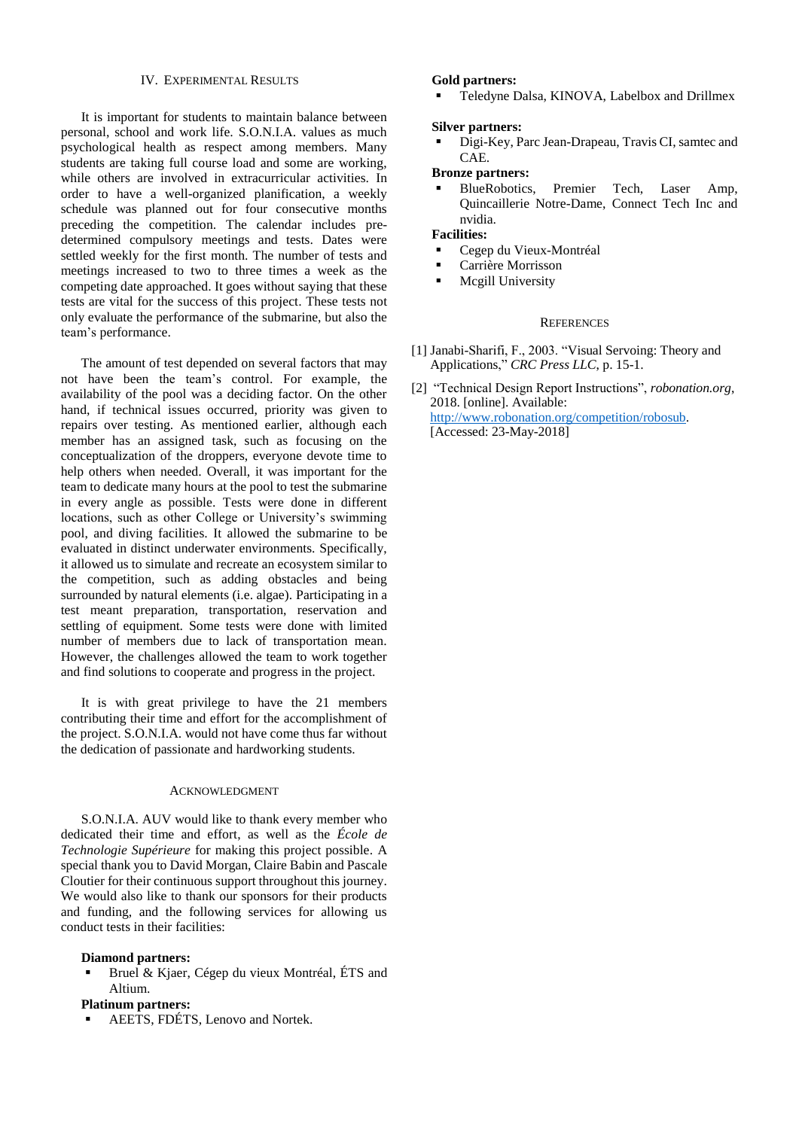#### IV. EXPERIMENTAL RESULTS

 It is important for students to maintain balance between personal, school and work life. S.O.N.I.A. values as much psychological health as respect among members. Many students are taking full course load and some are working, while others are involved in extracurricular activities. In order to have a well-organized planification, a weekly schedule was planned out for four consecutive months preceding the competition. The calendar includes predetermined compulsory meetings and tests. Dates were settled weekly for the first month. The number of tests and meetings increased to two to three times a week as the competing date approached. It goes without saying that these tests are vital for the success of this project. These tests not only evaluate the performance of the submarine, but also the team's performance.

 The amount of test depended on several factors that may not have been the team's control. For example, the availability of the pool was a deciding factor. On the other hand, if technical issues occurred, priority was given to repairs over testing. As mentioned earlier, although each member has an assigned task, such as focusing on the conceptualization of the droppers, everyone devote time to help others when needed. Overall, it was important for the team to dedicate many hours at the pool to test the submarine in every angle as possible. Tests were done in different locations, such as other College or University's swimming pool, and diving facilities. It allowed the submarine to be evaluated in distinct underwater environments. Specifically, it allowed us to simulate and recreate an ecosystem similar to the competition, such as adding obstacles and being surrounded by natural elements (i.e. algae). Participating in a test meant preparation, transportation, reservation and settling of equipment. Some tests were done with limited number of members due to lack of transportation mean. However, the challenges allowed the team to work together and find solutions to cooperate and progress in the project.

 It is with great privilege to have the 21 members contributing their time and effort for the accomplishment of the project. S.O.N.I.A. would not have come thus far without the dedication of passionate and hardworking students.

#### ACKNOWLEDGMENT

 S.O.N.I.A. AUV would like to thank every member who dedicated their time and effort, as well as the *École de Technologie Supérieure* for making this project possible. A special thank you to David Morgan, Claire Babin and Pascale Cloutier for their continuous support throughout this journey. We would also like to thank our sponsors for their products and funding, and the following services for allowing us conduct tests in their facilities:

#### **Diamond partners:**

Bruel & Kjaer, Cégep du vieux Montréal, ÉTS and Altium.

# **Platinum partners:**

AEETS, FDÉTS, Lenovo and Nortek.

## **Gold partners:**

Teledyne Dalsa, KINOVA, Labelbox and Drillmex

## **Silver partners:**

Digi-Key, Parc Jean-Drapeau, Travis CI, samtec and CAE.

# **Bronze partners:**

BlueRobotics, Premier Tech, Laser Amp, Quincaillerie Notre-Dame, Connect Tech Inc and nvidia.

**Facilities:**

- Cegep du Vieux-Montréal
- Carrière Morrisson
- **■** Mcgill University

#### **REFERENCES**

- [1] Janabi-Sharifi, F., 2003. "Visual Servoing: Theory and Applications," *CRC Press LLC*, p. 15-1.
- [2] "Technical Design Report Instructions", *robonation.org*, 2018. [online]. Available: [http://www.robonation.org/competition/robosub.](http://www.robonation.org/competition/robosub) [Accessed: 23-May-2018]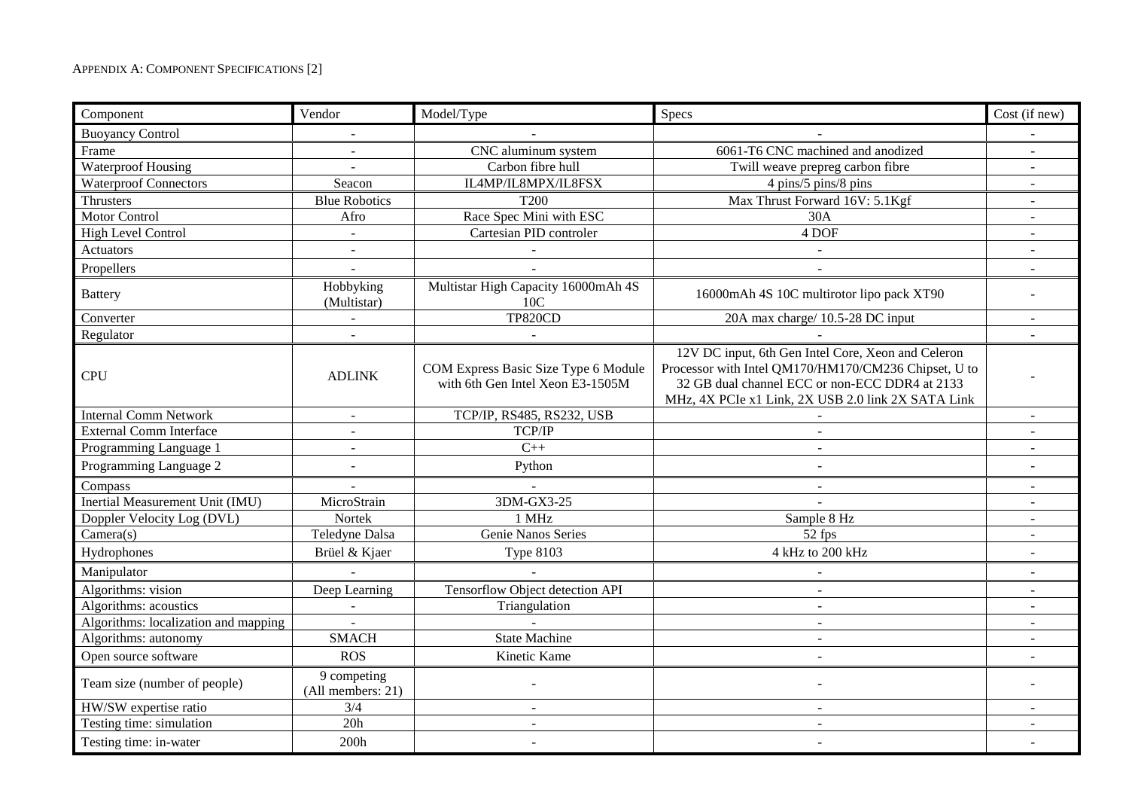| Component                              | Vendor                           | Model/Type                                                               | Specs                                                                                                                                                                                                              | Cost (if new)            |
|----------------------------------------|----------------------------------|--------------------------------------------------------------------------|--------------------------------------------------------------------------------------------------------------------------------------------------------------------------------------------------------------------|--------------------------|
| <b>Buoyancy Control</b>                |                                  |                                                                          |                                                                                                                                                                                                                    |                          |
| Frame                                  |                                  | CNC aluminum system                                                      | 6061-T6 CNC machined and anodized                                                                                                                                                                                  |                          |
| <b>Waterproof Housing</b>              | $\sim$                           | Carbon fibre hull                                                        | Twill weave prepreg carbon fibre                                                                                                                                                                                   | ÷.                       |
| <b>Waterproof Connectors</b>           | Seacon                           | IL4MP/IL8MPX/IL8FSX                                                      | 4 pins/5 pins/8 pins                                                                                                                                                                                               | $\sim$                   |
| Thrusters                              | <b>Blue Robotics</b>             | <b>T200</b>                                                              | Max Thrust Forward 16V: 5.1Kgf                                                                                                                                                                                     | $\blacksquare$           |
| <b>Motor Control</b>                   | Afro                             | Race Spec Mini with ESC                                                  | 30A                                                                                                                                                                                                                | $\blacksquare$           |
| High Level Control                     | $\sim$                           | Cartesian PID controler                                                  | 4 DOF                                                                                                                                                                                                              | $\sim$                   |
| <b>Actuators</b>                       |                                  |                                                                          |                                                                                                                                                                                                                    |                          |
| Propellers                             |                                  |                                                                          |                                                                                                                                                                                                                    |                          |
| <b>Battery</b>                         | Hobbyking<br>(Multistar)         | Multistar High Capacity 16000mAh 4S<br>10C                               | 16000mAh 4S 10C multirotor lipo pack XT90                                                                                                                                                                          |                          |
| Converter                              |                                  | <b>TP820CD</b>                                                           | 20A max charge/ 10.5-28 DC input                                                                                                                                                                                   | $\sim$                   |
| Regulator                              |                                  |                                                                          |                                                                                                                                                                                                                    |                          |
| <b>CPU</b>                             | <b>ADLINK</b>                    | COM Express Basic Size Type 6 Module<br>with 6th Gen Intel Xeon E3-1505M | 12V DC input, 6th Gen Intel Core, Xeon and Celeron<br>Processor with Intel QM170/HM170/CM236 Chipset, U to<br>32 GB dual channel ECC or non-ECC DDR4 at 2133<br>MHz, 4X PCIe x1 Link, 2X USB 2.0 link 2X SATA Link |                          |
| <b>Internal Comm Network</b>           | $\sim$                           | TCP/IP, RS485, RS232, USB                                                |                                                                                                                                                                                                                    | ÷.                       |
| <b>External Comm Interface</b>         |                                  | TCP/IP                                                                   |                                                                                                                                                                                                                    |                          |
| Programming Language 1                 | $\sim$                           | $C++$                                                                    |                                                                                                                                                                                                                    |                          |
| Programming Language 2                 |                                  | Python                                                                   |                                                                                                                                                                                                                    |                          |
| Compass                                |                                  | $\mathbf{r}$                                                             |                                                                                                                                                                                                                    |                          |
| <b>Inertial Measurement Unit (IMU)</b> | MicroStrain                      | 3DM-GX3-25                                                               |                                                                                                                                                                                                                    | $\sim$                   |
| Doppler Velocity Log (DVL)             | Nortek                           | 1 MHz                                                                    | Sample 8 Hz                                                                                                                                                                                                        |                          |
| Camera(s)                              | Teledyne Dalsa                   | Genie Nanos Series                                                       | $\overline{52}$ fps                                                                                                                                                                                                | $\sim$                   |
| Hydrophones                            | Brüel & Kjaer                    | <b>Type 8103</b>                                                         | 4 kHz to 200 kHz                                                                                                                                                                                                   |                          |
| Manipulator                            |                                  |                                                                          | $\blacksquare$                                                                                                                                                                                                     | $\blacksquare$           |
| Algorithms: vision                     | Deep Learning                    | Tensorflow Object detection API                                          | $\overline{a}$                                                                                                                                                                                                     | $\sim$                   |
| Algorithms: acoustics                  |                                  | Triangulation                                                            |                                                                                                                                                                                                                    |                          |
| Algorithms: localization and mapping   | $\Delta \phi$                    | ÷.                                                                       | $\overline{a}$                                                                                                                                                                                                     | $\sim$                   |
| Algorithms: autonomy                   | <b>SMACH</b>                     | <b>State Machine</b>                                                     | $\sim$                                                                                                                                                                                                             | $\overline{\phantom{a}}$ |
| Open source software                   | <b>ROS</b>                       | Kinetic Kame                                                             | $\sim$                                                                                                                                                                                                             | $\overline{a}$           |
| Team size (number of people)           | 9 competing<br>(All members: 21) |                                                                          |                                                                                                                                                                                                                    |                          |
| HW/SW expertise ratio                  | 3/4                              | $\sim$                                                                   | $\sim$                                                                                                                                                                                                             |                          |
| Testing time: simulation               | 20h                              | $\overline{a}$                                                           | $\sim$                                                                                                                                                                                                             | $\sim$                   |
| Testing time: in-water                 | 200h                             | ÷                                                                        |                                                                                                                                                                                                                    |                          |